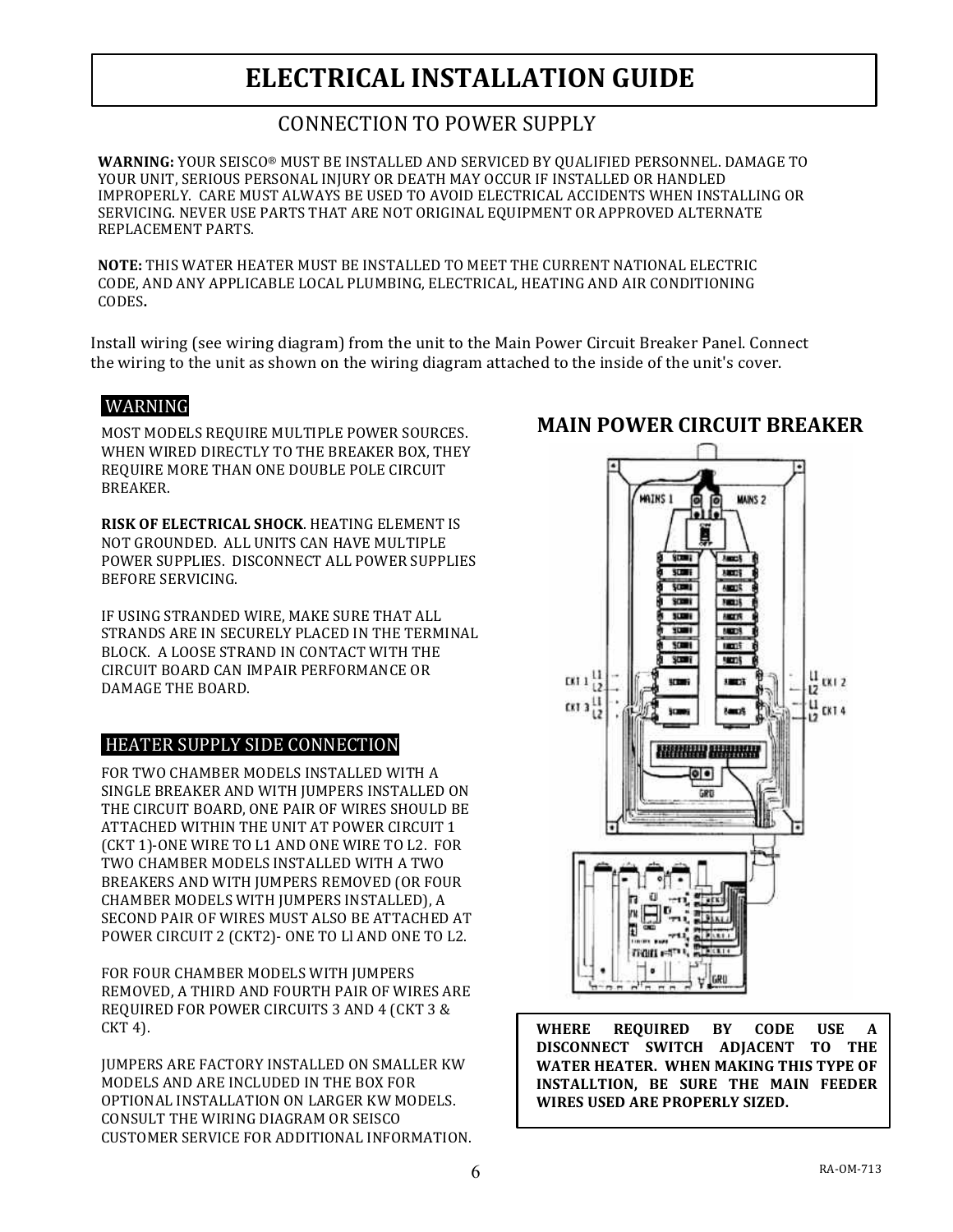## **ELECTRICAL INSTALLATION GUIDE**

### CONNECTION TO POWER SUPPLY

WARNING: YOUR SEISCO® MUST BE INSTALLED AND SERVICED BY QUALIFIED PERSONNEL. DAMAGE TO YOUR UNIT, SERIOUS PERSONAL INJURY OR DEATH MAY OCCUR IF INSTALLED OR HANDLED IMPROPERLY. CARE MUST ALWAYS BE USED TO AVOID ELECTRICAL ACCIDENTS WHEN INSTALLING OR SERVICING. NEVER USE PARTS THAT ARE NOT ORIGINAL EQUIPMENT OR APPROVED ALTERNATE REPLACEMENT PARTS.

**NOTE:** THIS WATER HEATER MUST BE INSTALLED TO MEET THE CURRENT NATIONAL ELECTRIC CODE, AND ANY APPLICABLE LOCAL PLUMBING, ELECTRICAL, HEATING AND AIR CONDITIONING CODES**.**

Install wiring (see wiring diagram) from the unit to the Main Power Circuit Breaker Panel. Connect the wiring to the unit as shown on the wiring diagram attached to the inside of the unit's cover.

#### WARNING!

MOST MODELS REQUIRE MULTIPLE POWER SOURCES. WHEN WIRED DIRECTLY TO THE BREAKER BOX, THEY REQUIRE MORE THAN ONE DOUBLE POLE CIRCUIT BREAKER.

**RISK OF ELECTRICAL SHOCK. HEATING ELEMENT IS** NOT GROUNDED. ALL UNITS CAN HAVE MULTIPLE POWER SUPPLIES. DISCONNECT ALL POWER SUPPLIES BEFORE SERVICING.

IF USING STRANDED WIRE, MAKE SURE THAT ALL STRANDS ARE IN SECURELY PLACED IN THE TERMINAL BLOCK. A LOOSE STRAND IN CONTACT WITH THE CIRCUIT BOARD CAN IMPAIR PERFORMANCE OR DAMAGE THE BOARD.

#### HEATER SUPPLY SIDE CONNECTION

FOR TWO CHAMBER MODELS INSTALLED WITH A SINGLE BREAKER AND WITH JUMPERS INSTALLED ON THE CIRCUIT BOARD, ONE PAIR OF WIRES SHOULD BE ATTACHED WITHIN THE UNIT AT POWER CIRCUIT 1 (CKT 1)-ONE WIRE TO L1 AND ONE WIRE TO L2. FOR TWO CHAMBER MODELS INSTALLED WITH A TWO BREAKERS AND WITH JUMPERS REMOVED (OR FOUR CHAMBER MODELS WITH IUMPERS INSTALLED), A SECOND PAIR OF WIRES MUST ALSO BE ATTACHED AT POWER CIRCUIT 2 (CKT2)- ONE TO LI AND ONE TO L2.

FOR FOUR CHAMBER MODELS WITH JUMPERS REMOVED, A THIRD AND FOURTH PAIR OF WIRES ARE REQUIRED FOR POWER CIRCUITS 3 AND 4 (CKT 3 &  $CKT<sub>4</sub>$ .

**IUMPERS ARE FACTORY INSTALLED ON SMALLER KW** MODELS AND ARE INCLUDED IN THE BOX FOR OPTIONAL INSTALLATION ON LARGER KW MODELS. CONSULT THE WIRING DIAGRAM OR SEISCO CUSTOMER SERVICE FOR ADDITIONAL INFORMATION.

#### MAINS 1 **MANS 2 Aggres STORE**  $38005$ **SCIPIT**  $A$ **SCORE Face 15 SCIPE ANGER SCHOOL ANTIS SCILLE URTIS SCORE SECTIS**  $0.11_{12}^{11}$ uran i **SHEETS**  $(1)$   $\frac{11}{12}$ **Sam3** CKT<sub>4</sub> **Hilling Hilling**  $\overline{\bullet}\overline{\bullet}$ GRE man

WHERE REQUIRED BY CODE USE A **DISCONNECT& SWITCH& ADJACENT& TO& THE&** WATER HEATER. WHEN MAKING THIS TYPE OF **INSTALLTION, BE SURE THE MAIN FEEDER WIRES USED ARE PROPERLY SIZED.** 

## **MAIN POWER CIRCUIT BREAKER**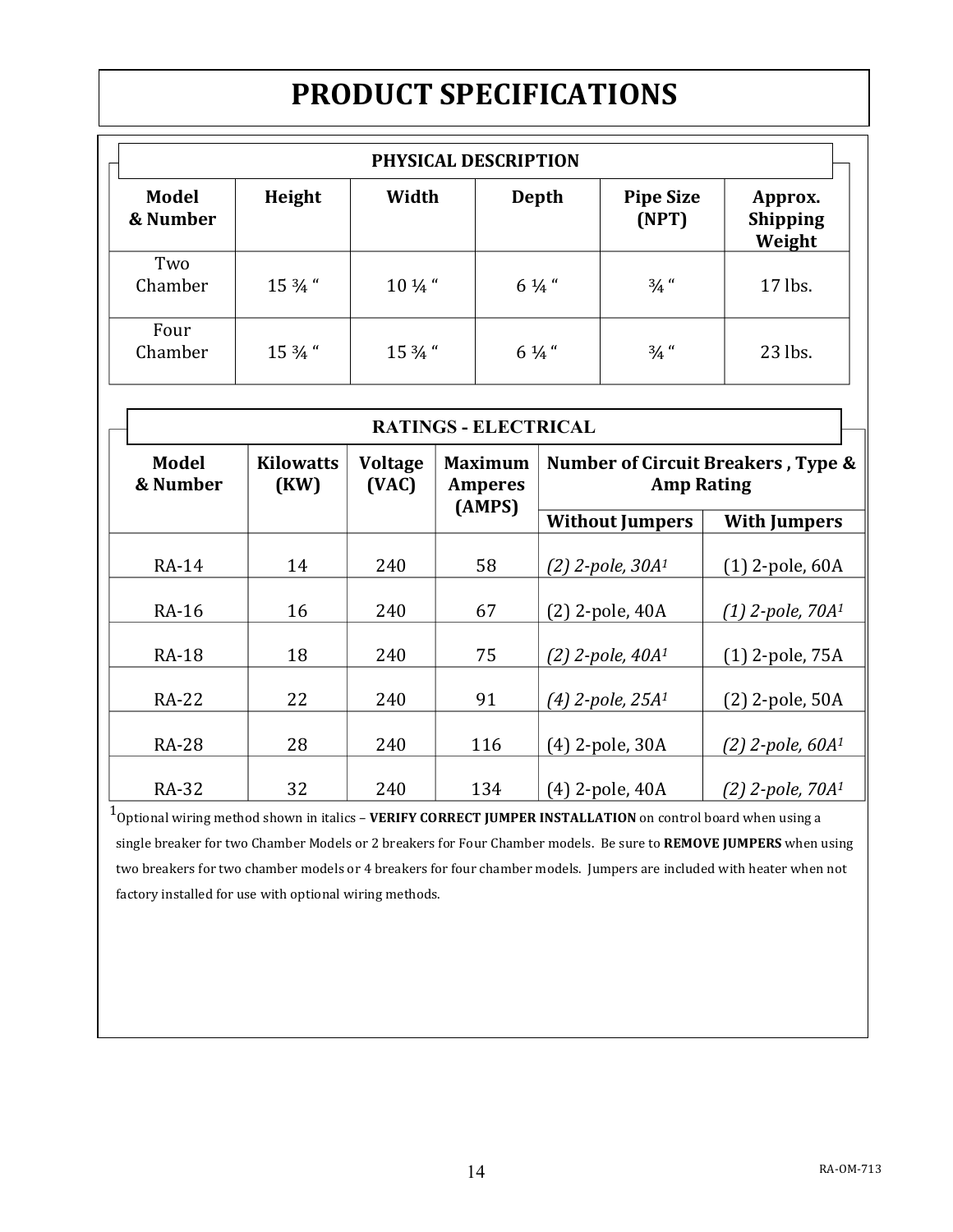# **PRODUCT SPECIFICATIONS**

| PHYSICAL DESCRIPTION     |                   |                   |                  |                           |                               |  |  |  |
|--------------------------|-------------------|-------------------|------------------|---------------------------|-------------------------------|--|--|--|
| <b>Model</b><br>& Number | Height            | Width             | Depth            | <b>Pipe Size</b><br>(NPT) | Approx.<br>Shipping<br>Weight |  |  |  |
| Two<br>Chamber           | $15\frac{3}{4}$ " | $10\frac{1}{4}$ " | $6\frac{1}{4}$ " | $\frac{3}{4}$ "           | 17 lbs.                       |  |  |  |
| Four<br>Chamber          | 15 3/4 "          | 15 3/4 "          | $6\frac{1}{4}$ " | $\frac{3}{4}$ "           | 23 lbs.                       |  |  |  |

| <b>RATINGS - ELECTRICAL</b> |                          |                         |                                            |                                                         |                              |  |  |
|-----------------------------|--------------------------|-------------------------|--------------------------------------------|---------------------------------------------------------|------------------------------|--|--|
| <b>Model</b><br>& Number    | <b>Kilowatts</b><br>(KW) | <b>Voltage</b><br>(VAC) | <b>Maximum</b><br><b>Amperes</b><br>(AMPS) | Number of Circuit Breakers, Type &<br><b>Amp Rating</b> |                              |  |  |
|                             |                          |                         |                                            | <b>Without Jumpers</b>                                  | <b>With Jumpers</b>          |  |  |
| RA-14                       | 14                       | 240                     | 58                                         | $(2)$ 2-pole, 30 $A1$                                   | $(1)$ 2-pole, 60A            |  |  |
| RA-16                       | 16                       | 240                     | 67                                         | $(2)$ 2-pole, 40A                                       | $(1)$ 2-pole, 70 $A1$        |  |  |
| <b>RA-18</b>                | 18                       | 240                     | 75                                         | $(2)$ 2-pole, 40 $A1$                                   | $(1)$ 2-pole, 75A            |  |  |
| <b>RA-22</b>                | 22                       | 240                     | 91                                         | $(4)$ 2-pole, 25 $A1$                                   | $(2)$ 2-pole, 50A            |  |  |
| <b>RA-28</b>                | 28                       | 240                     | 116                                        | (4) 2-pole, 30A                                         | $(2)$ 2-pole, 60 $A1$        |  |  |
| RA-32                       | 32                       | 240                     | 134                                        | $(4)$ 2-pole, 40A                                       | (2) 2-pole, 70A <sup>1</sup> |  |  |

 $1$ Optional wiring method shown in italics – **VERIFY CORRECT JUMPER INSTALLATION** on control board when using a single breaker for two Chamber Models or 2 breakers for Four Chamber models. Be sure to REMOVE JUMPERS when using two breakers for two chamber models or 4 breakers for four chamber models. Jumpers are included with heater when not factory installed for use with optional wiring methods.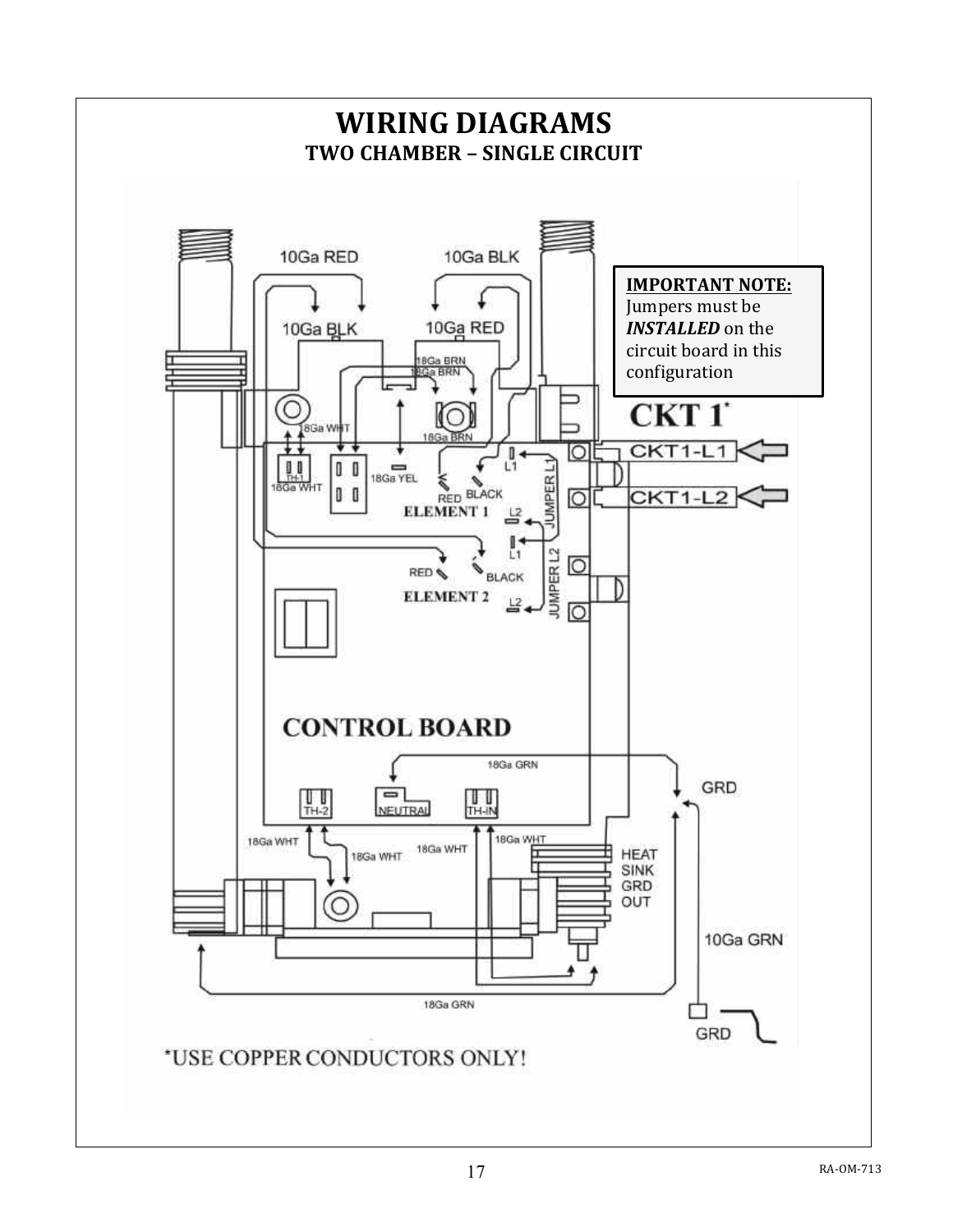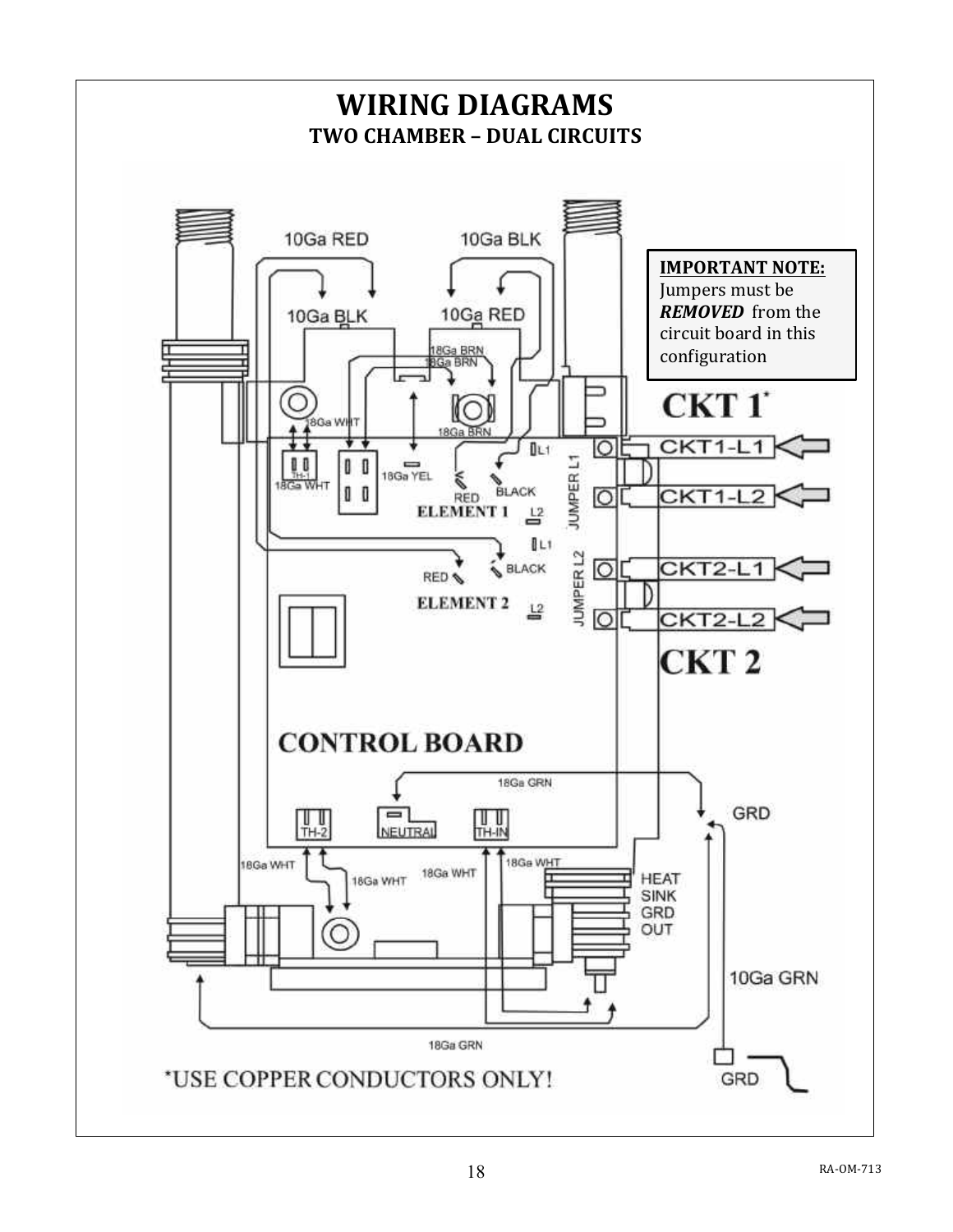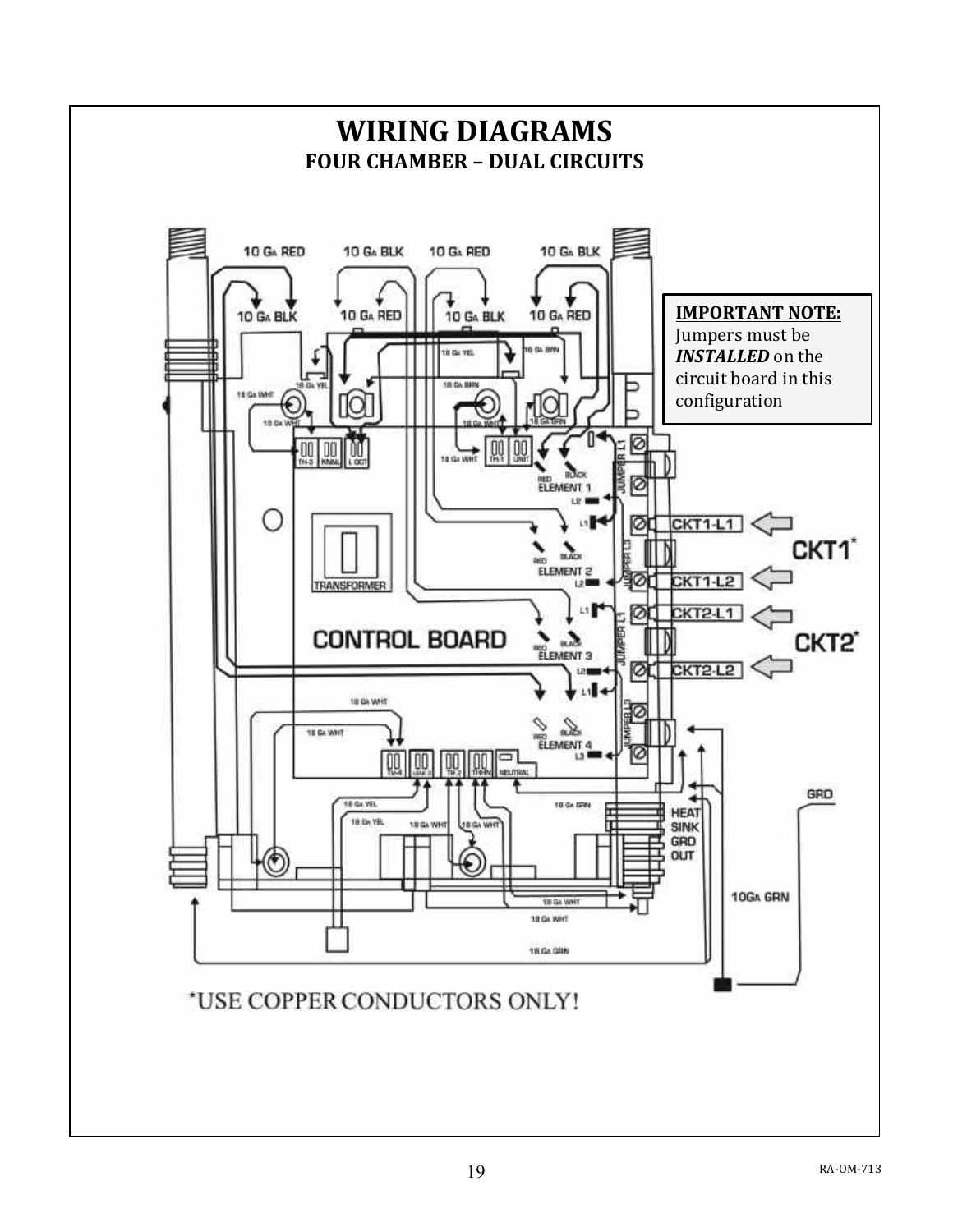